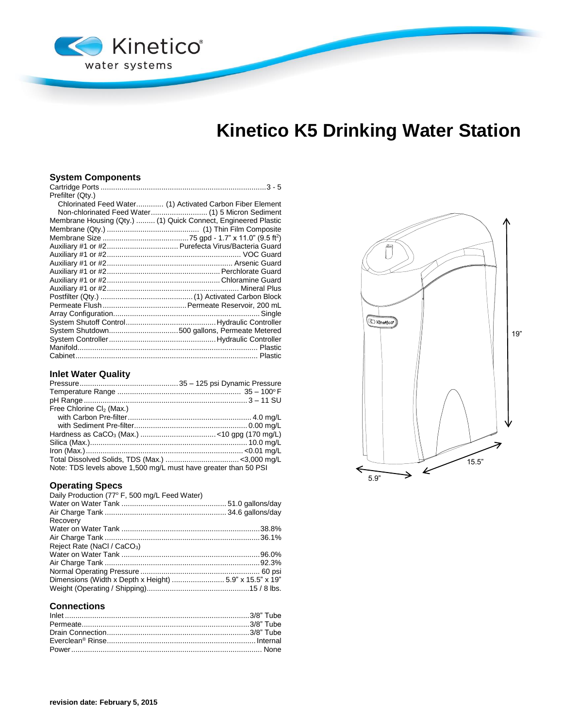

# **Kinetico K5 Drinking Water Station**

## **System Components**

| Prefilter (Qty.)                                               |                                                           |
|----------------------------------------------------------------|-----------------------------------------------------------|
|                                                                | Chlorinated Feed Water (1) Activated Carbon Fiber Element |
|                                                                |                                                           |
| Membrane Housing (Qty.)  (1) Quick Connect, Engineered Plastic |                                                           |
|                                                                |                                                           |
|                                                                |                                                           |
| Auxiliary #1 or #2 Purefecta Virus/Bacteria Guard              |                                                           |
|                                                                |                                                           |
|                                                                |                                                           |
|                                                                |                                                           |
|                                                                |                                                           |
|                                                                |                                                           |
|                                                                |                                                           |
|                                                                |                                                           |
|                                                                |                                                           |
|                                                                |                                                           |
| System Shutdown500 gallons, Permeate Metered                   |                                                           |
|                                                                |                                                           |
|                                                                |                                                           |
|                                                                |                                                           |

# **Inlet Water Quality**

| Free Chlorine Cl <sub>2</sub> (Max.)                            |  |
|-----------------------------------------------------------------|--|
|                                                                 |  |
|                                                                 |  |
|                                                                 |  |
|                                                                 |  |
|                                                                 |  |
|                                                                 |  |
| Note: TDS levels above 1,500 mg/L must have greater than 50 PSI |  |

## **Operating Specs**

| Daily Production (77° F, 500 mg/L Feed Water) |  |
|-----------------------------------------------|--|
|                                               |  |
|                                               |  |
| Recovery                                      |  |
|                                               |  |
|                                               |  |
| Reject Rate (NaCl / CaCO <sub>3</sub> )       |  |
|                                               |  |
|                                               |  |
|                                               |  |
|                                               |  |
|                                               |  |
|                                               |  |

### **Connections**

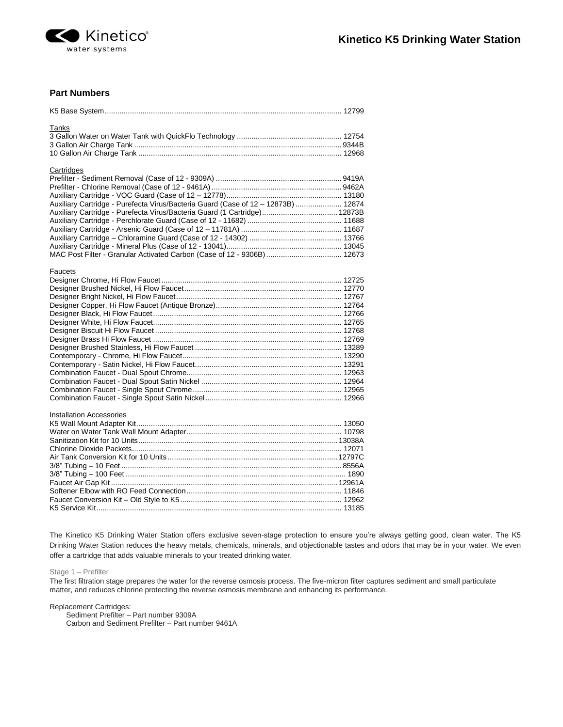

## **Part Numbers**

| <b>Tanks</b>                                                                      |  |
|-----------------------------------------------------------------------------------|--|
|                                                                                   |  |
|                                                                                   |  |
|                                                                                   |  |
| Cartridges                                                                        |  |
|                                                                                   |  |
|                                                                                   |  |
|                                                                                   |  |
| Auxiliary Cartridge - Purefecta Virus/Bacteria Guard (Case of 12 - 12873B)  12874 |  |
| Auxiliary Cartridge - Purefecta Virus/Bacteria Guard (1 Cartridge) 12873B         |  |
|                                                                                   |  |
|                                                                                   |  |
|                                                                                   |  |
|                                                                                   |  |
| MAC Post Filter - Granular Activated Carbon (Case of 12 - 9306B)  12673           |  |
| Faucets                                                                           |  |
|                                                                                   |  |
|                                                                                   |  |
|                                                                                   |  |
|                                                                                   |  |
|                                                                                   |  |
|                                                                                   |  |
|                                                                                   |  |
|                                                                                   |  |
|                                                                                   |  |
|                                                                                   |  |
|                                                                                   |  |
|                                                                                   |  |
|                                                                                   |  |
|                                                                                   |  |
|                                                                                   |  |
| <b>Installation Accessories</b>                                                   |  |
|                                                                                   |  |
|                                                                                   |  |
|                                                                                   |  |
|                                                                                   |  |
|                                                                                   |  |
|                                                                                   |  |
|                                                                                   |  |
|                                                                                   |  |
|                                                                                   |  |
|                                                                                   |  |
|                                                                                   |  |
|                                                                                   |  |

The Kinetico K5 Drinking Water Station offers exclusive seven-stage protection to ensure you're always getting good, clean water. The K5 Drinking Water Station reduces the heavy metals, chemicals, minerals, and objectionable tastes and odors that may be in your water. We even offer a cartridge that adds valuable minerals to your treated drinking water.

Stage 1 – Prefilter

The first filtration stage prepares the water for the reverse osmosis process. The five-micron filter captures sediment and small particulate matter, and reduces chlorine protecting the reverse osmosis membrane and enhancing its performance.

Replacement Cartridges:

Sediment Prefilter – Part number 9309A Carbon and Sediment Prefilter – Part number 9461A